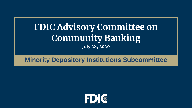# **FDIC Advisory Committee on Community Banking July 28, 2020**

## **Minority Depository Institutions Subcommittee**

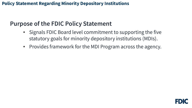## **Purpose of the FDIC Policy Statement**

- Signals FDIC Board level commitment to supporting the five statutory goals for minority depository institutions (MDIs).
- Provides framework for the MDI Program across the agency.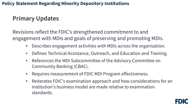## **Primary Updates**

Revisions reflect the FDIC's strengthened commitment to and engagement with MDIs and goals of preserving and promoting MDIs.

- Describes engagement activities with MDIs across the organization.
- Defines Technical Assistance, Outreach, and Education and Training.
- References the MDI Subcommittee of the Advisory Committee on Community Banking (CBAC).
- Requires measurement of FDIC MDI Program effectiveness.
- institution's business model are made relative to examination • Reiterates FDIC's examination approach and how considerations for an standards.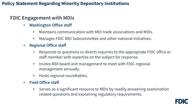## **FDIC Engagement with MDIs**

- **Washington Office staff** 
	- Maintains communication with MDI trade associations and MDIs.
	- Manages FDIC MDI Subcommittee and other national initiatives.
- **Regional Office staff** 
	- • Responds to questions or directs inquiries to the appropriate FDIC office or staff member with expertise on the subject for response.
	- Invites MDI board and management to meet with FDIC regional management annually.
	- Hosts regional roundtables.
- **Field Office staff** 
	- Serves as a significant resource to MDIs by readily answering examination related questions and explaining regulatory requirements.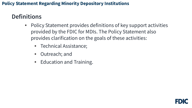## **Definitions**

- Policy Statement provides definitions of key support activities provided by the FDIC for MDIs. The Policy Statement also provides clarification on the goals of these activities:
	- Technical Assistance;
	- Outreach; and
	- Education and Training.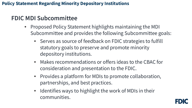## **FDIC MDI Subcommittee**

- Proposed Policy Statement highlights maintaining the MDI Subcommittee and provides the following Subcommittee goals:
	- Serves as source of feedback on FDIC strategies to fulfill statutory goals to preserve and promote minority depository institutions.
	- Makes recommendations or offers ideas to the CBAC for consideration and presentation to the FDIC.
	- Provides a platform for MDIs to promote collaboration, partnerships, and best practices.
	- Identifies ways to highlight the work of MDIs in their communities.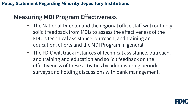## **Measuring MDI Program Effectiveness**

- The National Director and the regional office staff will routinely solicit feedback from MDIs to assess the effectiveness of the FDIC's technical assistance, outreach, and training and education, efforts and the MDI Program in general.
- The FDIC will track instances of technical assistance, outreach, and training and education and solicit feedback on the effectiveness of these activities by administering periodic surveys and holding discussions with bank management.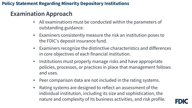## **Examination Approach**

- • All examinations must be conducted within the parameters of outstanding guidance.
- • Examiners consistently measure the risk an institution poses to the FDIC's deposit insurance fund.
- Examiners recognize the distinctive characteristics and differences in core objectives of each financial institution.
- • Institutions must properly manage risks and have appropriate policies, processes, or practices in place that management follows and uses.
- Peer comparison data are not included in the rating systems.
- individual institution, including its size and sophistication, the nature and complexity of its business activities, and risk profile. • Rating systems are designed to reflect an assessment of the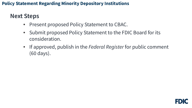## **Next Steps**

- Present proposed Policy Statement to CBAC.
- Submit proposed Policy Statement to the FDIC Board for its consideration.
- If approved, publish in the *Federal Register* for public comment (60 days).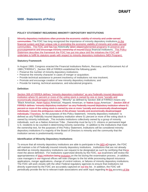#### **5000 - Statements of Policy**

#### **POLICY STATEMENT REGARDING MINORITY DEPOSITORY INSTITUTIONS**

**communities. T**he FDIC has long recognized the importance of minority depository institutions in th<u>e</u> financial system and their unique role in promoting the economic viability of minority and under-served promotepreserve and encourage minority ownership of insured these financial institutions. This Policy Statement describes the framework the FDIC has put into place and the initiatives the FDIC will Minority depository institutions often promote the economic viability of minority and under-served communities. The FDIC and has has historically taken stepsimplemented programs to preserve and undertake to fulfill its statutory goals with respect to minority depository institutions (MDI Program).

#### **Statutory Framework**

In August 1989, Congress enacted the Financial Institutions Reform, Recovery, and Enforcement Act of 1989 ("FIRREA"). Section 308 of FIRREA established the following goals:

- Preserve the number of minority depository institutions;
- Preserve the minority character in cases of merger or acquisition;
- Provide technical assistance to prevent insolvency of institutions not now insolvent;
- Promote and encourage creation of new minority depository institutions; and
- Provide for training, technical assistance, and educational programs.

#### **Definition**

 institution where 51 percent or more of the voting stock is owned by one or more "socially and "Black American, Asian Native American, Hispanic American, or Native Asian American." Section 308 of percent or more of the voting stock is owned by one or more "socially and economically disadvantaged <del>individuals,"<u>Therefore,</u> f</del>or the purposes of this Policy Statement, <u>"</u>minority depository institution<u>"</u> is defined as any Federally insured depository institution where 51 percent or more of the voting stock is owned by minority individuals. This includes institutions collectively owned by a group of minority depository institutions if a majority of the Board of Directors is minority and the community that the Section 308 of FIRREA defines "minority depository institution" as any Federally insured depository economically disadvantaged individuals." "Minority" as defined by Section 308 of FIRREA means any FIRREA defines "minority depository institution" as any Federally insured depository institution where 51 individuals." Given the ambiguous nature of the phrase "socially and economically disadvantaged individuals, such as a Native American Tribe. Ownership must be by U.S. citizens or permanent legal U.S. residents to be counted in determining minority ownership. In addition to the institutions that meet the ownership test, for the purposes of this Policy Statement, institutions will be considered minority institution serves is predominantly minority.

#### **Identification of Minority Depository Institutions**

 will maintain a list of Federally insured minority depository institutions. Institutions that are not already identified as minority depository institutions can request to be designated as such by certifying that the $\mathbf{y}_\text{F}$ case managers in <del>our </del>regional offices will note changes to the list while processing deposit insurance applications, merger applications, change of control notices, or failures of minority depository institutions. The FDIC will work closely with the other Federal regulatory agencies to ensure that institutions not directly supervised by the FDIC are accurately captured on <del>our the</del> list. In addition, the FDIC will<br>next allocation was identically the list to relevant trade acceptations and acake invut repeating its the accura periodically provide the list to relevant trade associations and seek input regarding <del>its <u>the</u> accuracy <u>of the</u></del> MDI <del>pP</del><br>tions tha To ensure that all minority depository institutions are able to participate in the MDI pProgram, the FDIC meet the above definition. For institutions supervised directly by the FDIC, our examiners will review the appropriateness of *their institution being inclusion* on the list during the examination process. In addition,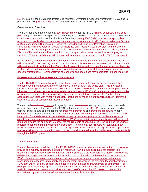participate in this <del>program Program</del> will be removed from the official list upon request. <u>list</u>. Inclusion in the FDIC's MDI Program is voluntary. Any minority depository institution not wishing to participate in this experience Program will be removed from the official list upon request.

#### **Organizational Structure**

<del>coordinator <u>director</u> w</del>ill consult with officials from the following FDIC Divisions to ensure appropriate personnel are involved and resources are made available with regard to MDI Program initiatives: Division of Risk Management Supervision,- Division of Depositor and Consumer Protection, Division of initiatives. The national director will also consult with other organizations within the FDIC as appropriate. The FDIC has designated a national coordinator director for the FDIC's minority depository institutions pMDI Program in the Washington Office and a regional coordinator in each Regional Office. The national Resolutions and Receiverships, Division of Insurance and Research, Legal Division, and the Office of Diversity and Economic OpportunityOffice of Minority and Women Inclusion, the Legal Division, and the Division of Resolutions and Receiverships to ensure appropriate personnel are involved in program

will focus its efforts on minority depository institutions with those charters. However, the national director will meet periodically with the other Federal banking regulators to discuss each agency's outreach efforts, depository institutions. Representatives of other divisions and offices may participate in these meetings. As the primary Federal regulator for State nonmember banks and State savings associations, the FDIC to share ideas, and to identify opportunities where the agencies can work together to assist minority

#### **Engagement with Minority Depository Institutions**

 The FDIC's MDI Program will provide for continual engagement with minority depository institutions through ongoing interaction with the Washington, Regional, and Field Office staff. This interaction includes providing technical assistance to share information and expertise on supervisory topics, outreach initiatives to provide opportunities for open dialogue with senior FDIC staff, and training initiatives to offer opportunities to gain additional knowledge about specific regulatory requirements. Further, trade associations affiliated with minority depository institutions serve as a significant resource in identifying specific interests or concerns for those institutions.

associa–tions to seek feedback on the FDIC's efforts under <del>this <u>the MDI pP</u>rogram, discuss possible</del> programs supporting minority depository institutions. The regional coordinators will contact all new The national coordinator director will regularly contact the various minority depository institution trade training initiatives, and explore options for preserving promoting and promoting preserving minority ownership of depository institutions. The national director and the regional coordinators also will solicit information from trade associations and other organizations about groups that may be interested in establishing new minority depository institutions. FDIC representatives will be available to address such groups to discuss the application process, the requirements of becoming FDIC insured, and the various minority state nonmember banks and state savings associations identified through insurance applications, merger applications, or change in control notices to familiarize the institutions with the resources available through the MDI Program.

#### *Technical Assistance*

 Technical assistance, as defined by the FDIC's MDI Program, is individual assistance that a regulator will understanding supervisory topics or findings. At any time, the FDIC will share information and expertise FDIC staff will not actually perform tasks expected of an institution's management or employees. For example, FDIC staff may explain Call Report instructions as they relate to specific accounts, but will not reinvestment opportunities, but will not recommend a specific transaction. provide to a minority depository institution in response to an institution's request for assistance in with bank management on various topics including, but not limited to, understanding bank regulations, FDIC policies, examination procedures, accounting practices, supervisory recommendations, risk management procedures, and compliance management procedures. In providing technical assistance, assist in preparing an institution's Call Report. FDIC staff may provide information on community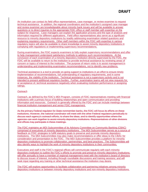explaining regulatory requirements. Other staff members within the FDIC with expertise in various regulatory topics will also be available to share knowledge to assist minority depository institutions in complying with regulations or implementing supervisory recommendations. An institution can contact its field office representatives, case manager, or review examiner to request technical assistance. In addition, the regional coordinators and the institution's assigned case manager and review examiner are knowledgeable about minority bank issues and will be available to answer questions or to direct inquiries to the appropriate FDIC office or staff member with expertise on the subject for response. Case managers can explain the application process and the type of analysis and information required for different applications. Field office representatives also serve as a significant resource to minority depository institutions by readily addressing examination related questions and

 to help management understand satisfactory methods to address such recommendations. At the FDIC will be available to return to the institution to provide technical assistance by reviewing areas of During examinations, the FDIC expects examiners to fully explain supervisory recommendations and offer conclusion of each examination of a minority depository institution directly supervised by the FDIC, the concern or topics of interest to the institution. The purpose of return visits is to assist management in understanding and implementing examination recommendations, not to identify new problems.

 ratings. Technical assistance is a tool to provide on-going support to institutions in an effort to ensure timely implementation of recommendations, full understanding of regulatory requirements, and in some instances, the viability of the institution. Technical assistance is not a supervisory activity and is not intended to present additional regulatory burden. Further, examination teams will not view requests for, or acceptance of, technical assistance negatively when evaluating institution performance or assigning

#### *Outreach*

 Outreach, as defined by the FDIC's MDI Program, consists of FDIC representatives meeting with financial institutions with a primary focus of building relationships and open communication and providing information and resources. Outreach is generally offered by the FDIC and can include meetings between financial institution management and senior FDIC management.

 As the primary Federal regulator for State nonmember banks, the FDIC will focus its efforts on these and offices may participate in these meetings. institutions. However, the national coordinator will meet with the other Federal regulators periodically to discuss each agency's outreach efforts, to share the ideas, and to identify opportunities where the agencies can work together to assist minority depository institutions. Representatives of other divisions

and offices may participate in these meetings.<br>The FDIC maintains an MDI Subcommittee of its Advisory Committee on Community Banking (CBAC) comprised of executives of minority depository institutions. The MDI Subcommittee serves as a source of feedback on FDIC strategies to fulfill statutory goals to preserve and promote minority depository depository institutions to promote collaboration, partnerships, and best practices. The Subcommittee will also identify ways to highlight the work of minority depository institutions in their communities. institutions. The MDI Subcommittee may also make recommendations or offer ideas to the CBAC for consideration and presentation to the FDIC. The MDI Subcommittee provides a platform for minority

 Executives and staff in the FDIC's regional offices will communicate regularly with each minority seek input regarding any training or other technical assistance the institution may desire. depository institution to outline the FDIC's efforts to promote and preserve minority depository institutions; will offer annually to have a member of regional management meet with the institution's board of directors to discuss issues of interest, including through roundtable discussions and training sessions; and will

seek input regarding any training or other technical assistance the institution may desire.<br>The FDIC will explore opportunities to facilitate collaboration and partnering initiatives among minority depository institutions or between minority depository institutions and non-minority depository institutions.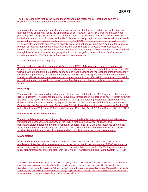opportunities to better meet the needs of their communities. The FDIC recognizes that by facilitating these collaborative relationships, institutions can have

 institution's central point of contact at the FDIC. At least annually, regional coordinators will contact each interest. Finally, the regional coordinators will contact all new minority State nonmember banks identified The regional coordinators are knowledgeable about minority bank issues and are available to answer questions or to direct inquiries to the appropriate office. However, each FDIC-insured institution has previously been assigned a specific case manager in their regional office who will continue to be the minority depository institution directly supervised by the FDIC in their respective regions to discuss the FDIC's efforts to promote and preserve minority ownership of financial institutions and to offer to have a member of regional management meet with the institution's board of directors to discuss issues of through insurance applications, merger applications, or change in control notices to familiarize the institutions with the FDIC's minority depository institution program.

#### *Training and Educational Programs*

 The FDIC will partner with other agencies and trade associations to offer training programs. This training Training and educational programs, as defined by the FDIC's MDI program, consists of instruction designed to impart proficiency or skills related to a particular job, process, or regulatory policy. The FDIC will work with other banking regulatory agencies and trade associations representing minority depository institutions to periodically assess the need for, and provide for, training and educational opportunities. and education can be provided in person, through webinars or conference calls, or in a conference setting.

#### **Reporting**

 depository institutions will also be highlighted in the FDIC's Annual Report and the Annual Report to The regional coordinators will report regional office activities related to the MDI Program to the national director quarterly. The national director will develop a comprehensive report on all MDI Program activities and submit the report quarterly to the Chairman. The FDIC's efforts to preserve and promote minority Congress on the Preservation and Promotion of Minority Depository Institutions pursuant to Section 367 of the Dodd-Frank Wall Street Reform and Consumer Protection Act of 2010 and Section 308 of FIRREA.

#### **Measuring Program Effectiveness**

 The national director and the regional office staff will routinely solicit feedback from minority depository activities by administering periodic surveys and holding discussions with bank management. institutions to assess the effectiveness of the FDIC's technical assistance, outreach, and training/education efforts and the MDI Program in general. The FDIC will track instances of technical assistance, outreach, and training and education and solicit feedback on the effectiveness of these

#### **Examinations**

l

 regulations. Likewise, all examinations must be conducted within the parameters of FDIC examination All insured institutions must be operated in a safe and sound manner, in accordance with FDIC's policies and should consistently measure the risk an institution poses to the FDIC's deposit insurance fund. Notwithstanding, and consistent with the Uniform Financial Institutions Rating System (UFIRS)<sup>1</sup>

<span id="page-12-0"></span><sup>&</sup>lt;sup>1</sup> The UFIRS takes into consideration certain financial, managerial, and compliance factors that are common to all institutions. (Compliance, Community Reinvestment Act, Government Security Dealers, Information Technology, Municipal Security Dealers, Compliance with laws and regulations is considered under the management component. Specialty examination findings Transfer Agent, and Trust (or Fiduciary)) and the ratings assigned to those areas are taken into consideration, as appropriate, when assigning a composite rating and component ratings under UFIRS.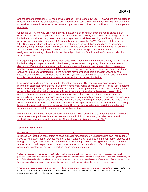### **DRAFT**

 recognize the distinctive characteristics and differences in core objectives of each financial institution and and the Uniform Interagency Consumer Compliance Rating System (UICCR)<sup>2</sup>, examiners are expected to to consider those unique factors when evaluating an institution's financial condition and risk management practices.

 evaluation of specific components, which are also rated. For UFIRS, these component ratings reflect an institution's capital adequacy, asset quality, management capabilities, earnings sufficiency, liquidity position, and sensitivity to market risk (commonly referred to as the CAMELS ratings). Likewise, the oversight, compliance program, and violations of law and consumer harm. The uniform rating systems and evaluation and rating criteria are specific to the examination types performed. Further, the specific components. Under the UFIRS and UICCR, each financial institution is assigned a composite rating based on an UICCR is organized under broad components that assess the institution's board and management assignment of the rating is based solely on the subject institution's individual performance under the

specific components.<br>Management practices, particularly as they relate to risk management, vary considerably among financial risk profile. Each institution must properly manage risks and have appropriate policies, processes, or practices in place that management follows and uses. Activities undertaken in a less complex institution institutions depending on size and sophistication, the nature and complexity of business activities, and engaging in less sophisticated risk-taking activities may only need basic management and control systems compared to the detailed and formalized systems and controls used for the broader and more complex range of activities undertaken at a larger and more complex institution.

 reliance on statistical comparisons to justify the component rating being assigned. This is very important when evaluating minority depository institutions due to their unique characteristics. For example, many minority depository institutions were established to serve an otherwise under-served market. High allows for consideration of the characteristics by considering not only the level of an institution's earnings, but also the trend and stability of earnings, the ability to provide for adequate capital, the quality and Peer comparison data are not included in the rating systems. The principal reason is to avoid over profitability may not be as essential to the organizers and shareholders of the institution. Instead, community development, improving consumer services, and promoting banking services to the unbanked or under-banked segment of its community may drive many of the organization's decisions. The UFIRS sources of earnings, and the adequacy of budgeting systems.

 systems are designed to reflect an assessment of the individual institution, including its size and sophistication, the nature and complexity of its business activities, and risk profile.<sup>[3](#page-13-1)</sup> Examiners are instructed to consider all relevant factors when assigning a component rating. The rating

#### **Technical Assistance**

 $\overline{\phantom{a}}$ 

 the type of analysis and information required for different applications. During examinations, examiners The FDIC can provide technical assistance to minority depository institutions in several ways on a variety of issues. An institution can contact its case manager for assistance in understanding bank regulations, FDIC policies, examination procedures, etc. Case managers can also explain the application process and are expected to fully explain any supervisory recommendations and should offer to help management understand satisfactory methods to address such recommendations.

<span id="page-13-0"></span>each federally regulated financial institution. The consumer compliance rating reflects the effectiveness of an institution's CMS  $<sup>2</sup>$  UICCR is a supervisory policy for evaluating financial institutions' adherence to consumer compliance requirements. It</sup> provides a general framework for evaluating compliance assessment factors in order to assign a consumer compliance rating to to ensure compliance with consumer protection laws and regulations and reduce the risk of harm to consumers.

<span id="page-13-1"></span><sup>&</sup>lt;sup>3</sup> Peer data are used in specific examination procedures for performance testing. For example, peer data are used to determine whether an insured depository institution serves the credit needs of its community as required under the Community Reinvestment Act and its implementing regulations.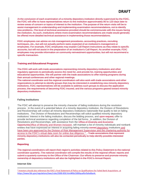the FDIC will offer to have representatives return to the institution approximately 90 to 120 days later to new problems. The level of technical assistance provided should be commensurate with the issues facing the institution. As such, institutions where more examination recommendations are made would generally At the conclusion of each examination of a minority depository institution directly supervised by the FDIC, review areas of concern or topics of interest to the institution. The purpose of the return visits will be to assist management in understanding and implementing examination recommendations, not to identify be offered more detailed technical assistance in implementing those recommendations.

 techniques, etc., but will not actually perform tasks expected of an institution's management or FDIC employees can advise on risk management procedures, accounting practices, recruiting employees. For example, FDIC employees may explain Call Report instructions as they relate to specific accounts, but will not assist in the preparation of an institution's Call Report. As another example, FDIC employees may provide information on community reinvestment opportunities, but will not recommend a specific transaction.

#### **Training and Educational Programs**

 The FDIC will work with trade associations representing minority depository institutions and other educational opportunities. We will partner with the trade associations to offer training programs during regulatory agencies to periodically assess the need for, and provide for, training opportunities and their annual conferences and other regional meetings.

 organizations to attempt to identify groups that may be interested in establishing new minority depository The national coordinator and the regional coordinators will also work with trade associations and other institutions. FDIC representatives will be available to address such groups to discuss the application process, the requirements of becoming FDIC insured, and the various programs geared toward minority depository institutions.

#### **Failing Institutions**

 The FDIC will attempt to preserve the minority character of failing institutions during the resolution process. In the event of a potential failure of a minority depository institution, the Division of Resolutions institutions. The Division of Resolutions and Receiverships will solicit qualified minority depository OpportunityOffice of Minority and Women Inclusion, will maintain a list of minority individuals and nonbank access to the FDIC's virtual data room for online due diligence.<sup>[4](#page-14-0)</sup> . Trade associations that represent minority depository institutions will also be contacted periodically to help identify possible interested and Receiverships will contact all minority depository institutions nationwide that qualify to bid on failing institutions' interest in the failing institution, discuss the bidding process, and upon request, offer to provide technical assistance regarding completion of the bid forms. In addition, the Division of Resolutions and Receiverships, with assistance from the Office of Diversity and Economic entities that have expressed an interest in acquiring failing minority-owned depository institutions and have been pre-approved by the Division of Risk Management Supervision and the chartering authority for parties.

#### **Reporting**

The regional coordinators will report their region's activities related to this Policy Statement to the national coordinator quarterly. The national coordinator will compile the results of the regional offices' reports and submit a quarterly summary to the Office of the Chairman. Our efforts to preserve and promote minority ownership of depository institutions will also be highlighted in the FDIC's Annual Report.

#### **Internet Site**

l

<span id="page-14-0"></span><sup>4</sup> Investors should also reference the FDIC's Final Statement of Policy on Qualifications for Failed Bank Acquisitions at [https://www.fdic.gov/regulations/laws/rules/5000-850.html#fdic5000qualforfailedbank.](https://www.fdic.gov/regulations/laws/rules/5000-850.html#fdic5000qualforfailedbank)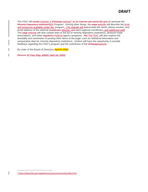### **DRAFT**

email address of the national coordinator director, and each regional coordinator, and additional staff. The <del>page <u>website </u>w</del>ill also contain links to the list of minority depository institutions, pertinent trade The FDIC will create maintain a Webpage website<sup>5</sup> on its Internet site (*www.fdic.gov*) to promote the Minority Depository InstitutionMDI Program. Among other things, the page website will describe the tools and resources available under the -program. The website will and include the name, phone number, and associations, and other regulatory Federal agency programs. We The FDIC will also explore the feasibility and usefulness of posting other items to the page, such as statistical information and comparative data for minority depository institutions. Visitors will have the opportunity to provide feedback regarding the FDIC's program and the usefulness of the Webpagewebsite.

By order of the Board of Directors, April 9, 2002.

 *[Source: 67 Fed. Reg. 18620, April 16, 2002]* 

l

<span id="page-15-0"></span>[<sup>5</sup> https://www.fdic.gov/regulations/resources/minority/index.html](https://www.fdic.gov/regulations/resources/minority/index.html)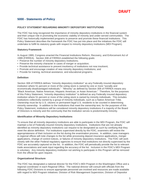

#### **5000 - Statements of Policy**

#### **POLICY STATEMENT REGARDING MINORITY DEPOSITORY INSTITUTIONS**

 FDIC has historically implemented programs to preserve and promote these financial institutions. This Policy Statement describes the framework the FDIC has put into place and the initiatives the FDIC will The FDIC has long recognized the importance of minority depository institutions in the financial system and their unique role in promoting the economic viability of minority and under-served communities. The undertake to fulfill its statutory goals with respect to minority depository institutions (MDI Program).

#### **Statutory Framework**

In August 1989, Congress enacted the Financial Institutions Reform, Recovery, and Enforcement Act of 1989 (FIRREA). Section 308 of FIRREA established the following goals:

- Preserve the number of minority depository institutions;
- Preserve the minority character in cases of merger or acquisition;
- Provide technical assistance to prevent insolvency of institutions not now insolvent;
- Promote and encourage creation of new minority depository institutions; and
- Provide for training, technical assistance, and educational programs.

#### **Definition**

 institution where 51 percent or more of the voting stock is owned by one or more "socially and economically disadvantaged individuals." "Minority" as defined by Section 308 of FIRREA means any of this Policy Statement, "minority depository institution" is defined as any Federally insured depository institution where 51 percent or more of the voting stock is owned by minority individuals. This includes Policy Statement, institutions will be considered minority depository institutions if a majority of the Board of Directors is minority and the community that the institution serves is predominantly minority. Section 308 of FIRREA defines "minority depository institution" as any Federally insured depository "Black American, Native American, Hispanic American, or Asian American." Therefore, for the purposes institutions collectively owned by a group of minority individuals, such as a Native American Tribe. Ownership must be by U.S. citizens or permanent legal U.S. residents to be counted in determining minority ownership. In addition to the institutions that meet the ownership test, for the purposes of this

#### **Identification of Minority Depository Institutions**

 To ensure that all minority depository institutions are able to participate in the MDI Program, the FDIC will appropriateness of their inclusion on the list during the examination process. In addition, case managers closely with the other Federal regulatory agencies to ensure that institutions not directly supervised by the FDIC are accurately captured on the list. In addition, the FDIC will periodically provide the list to relevant trade associations and seek input regarding the accuracy of the list. Inclusion in the FDIC's MDI Program maintain a list of Federally insured minority depository institutions. Institutions that are not already identified as minority depository institutions can request to be designated as such by certifying that they meet the above definition. For institutions supervised directly by the FDIC, examiners will review the in regional offices will note changes to the list while processing deposit insurance applications, merger applications, change of control notices, or failures of minority depository institutions. The FDIC will work is voluntary. Any minority depository institution not wishing to participate in this Program will be removed from the official list upon request.

#### **Organizational Structure**

The FDIC has designated a national director for the FDIC's MDI Program in the Washington Office and a regional coordinator in each Regional Office. The national director will consult with officials from the following FDIC Divisions to ensure appropriate personnel are involved and resources are made available with regard to MDI Program initiatives: Division of Risk Management Supervision, Division of Depositor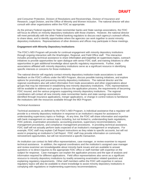

 Research, Legal Division, and the Office of Minority and Women Inclusion. The national director will also consult with other organizations within the FDIC as appropriate. and Consumer Protection, Division of Resolutions and Receiverships, Division of Insurance and

 will focus its efforts on minority depository institutions with those charters. However, the national director will meet periodically with the other Federal banking regulators to discuss each agency's outreach efforts, depository institutions. Representatives of other divisions and offices may participate in these meetings. As the primary Federal regulator for State nonmember banks and State savings associations, the FDIC to share ideas, and to identify opportunities where the agencies can work together to assist minority

#### **Engagement with Minority Depository Institutions**

 The FDIC's MDI Program will provide for continual engagement with minority depository institutions through ongoing interaction with the Washington, Regional, and Field Office staff. This interaction includes providing technical assistance to share information and expertise on supervisory topics, outreach opportunities to gain additional knowledge about specific regulatory requirements. Further, trade initiatives to provide opportunities for open dialogue with senior FDIC staff, and training initiatives to offer associations affiliated with minority depository institutions serve as a significant resource in identifying specific interests or concerns for those institutions.

 The national director will regularly contact minority depository institution trade associations to seek options for promoting and preserving minority depository institutions. The national director and the groups that may be interested in establishing new minority depository institutions. FDIC representatives FDIC insured, and the various programs supporting minority depository institutions. The regional feedback on the FDIC's efforts under the MDI Program, discuss possible training initiatives, and explore regional coordinators also will solicit information from trade associations and other organizations about will be available to address such groups to discuss the application process, the requirements of becoming coordinators will contact all new minority state nonmember banks and state savings associations identified through insurance applications, merger applications, or change in control notices to familiarize the institutions with the resources available through the MDI Program.

#### *Technical Assistance*

 Technical assistance, as defined by the FDIC's MDI Program, is individual assistance that a regulator will understanding supervisory topics or findings. At any time, the FDIC will share information and expertise with bank management on various topics including, but not limited to, understanding bank regulations, management procedures, and compliance management procedures. In providing technical assistance, FDIC staff will not actually perform tasks expected of an institution's management or employees. For example, FDIC staff may explain Call Report instructions as they relate to specific accounts, but will not assist in preparing an institution's Call Report. FDIC staff may provide information on community provide to a minority depository institution in response to an institution's request for assistance in FDIC policies, examination procedures, accounting practices, supervisory recommendations, risk reinvestment opportunities, but will not recommend a specific transaction.

 An institution can contact its field office representatives, case manager, or review examiner to request technical assistance. In addition, the regional coordinators and the institution's assigned case manager and review examiner are knowledgeable about minority bank issues and are available to answer explaining regulatory requirements. Other staff members within the FDIC with expertise in various regulatory topics will also be available to share knowledge to assist minority depository institutions in complying with regulations or implementing supervisory recommendations. questions or to direct inquiries to the appropriate FDIC office or staff member with expertise on the subject for response. Case managers can explain the application process and the type of analysis and information required for different applications. Field office representatives also serve as a significant resource to minority depository institutions by readily answering examination related questions and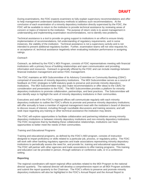### **DRAFT**

 During examinations, the FDIC expects examiners to fully explain supervisory recommendations and offer to help management understand satisfactory methods to address such recommendations. At the FDIC will be available to return to the institution to provide technical assistance by reviewing areas of conclusion of each examination of a minority depository institution directly supervised by the FDIC, the concern or topics of interest to the institution. The purpose of return visits is to assist management in understanding and implementing examination recommendations, not to identify new problems.

 ratings. Technical assistance is a tool to provide on-going support to institutions in an effort to ensure timely implementation of recommendations, full understanding of regulatory requirements, and in some instances, the viability of the institution. Technical assistance is not a supervisory activity and is not intended to present additional regulatory burden. Further, examination teams will not view requests for, or acceptance of, technical assistance negatively when evaluating institution performance or assigning

#### *Outreach*

 Outreach, as defined by the FDIC's MDI Program, consists of FDIC representatives meeting with financial financial institution management and senior FDIC management. institutions with a primary focus of building relationships and open communication and providing information and resources. Outreach is generally offered by the FDIC and can include meetings between

financial institution management and senior FDIC management.<br>The FDIC maintains an MDI Subcommittee of its Advisory Committee on Community Banking (CBAC) comprised of executives of minority depository institutions. The MDI Subcommittee serves as a source of feedback on FDIC strategies to fulfill statutory goals to preserve and promote minority depository institutions. The MDI Subcommittee may also make recommendations or offer ideas to the CBAC for consideration and presentation to the FDIC. The MDI Subcommittee provides a platform for minority depository institutions to promote collaboration, partnerships, and best practices. The Subcommittee will also identify ways to highlight the work of minority depository institutions in their communities.

 Executives and staff in the FDIC's regional offices will communicate regularly with each minority depository institution to outline the FDIC's efforts to promote and preserve minority depository institutions; will offer annually to have a member of regional management meet with the institution's board of directors to discuss issues of interest, including through roundtable discussions and training sessions; and will seek input regarding any training or other technical assistance the institution may desire.

 The FDIC will explore opportunities to facilitate collaboration and partnering initiatives among minority depository institutions or between minority depository institutions and non-minority depository institutions. opportunities to better meet the needs of their communities. The FDIC recognizes that by facilitating these collaborative relationships, institutions can have

#### *Training and Educational Programs*

 The FDIC will partner with other agencies and trade associations to offer training programs. This training Training and educational programs, as defined by the FDIC's MDI program, consists of instruction designed to impart proficiency or skills related to a particular job, process, or regulatory policy. The FDIC will work with other banking regulatory agencies and trade associations representing minority depository institutions to periodically assess the need for, and provide for, training and educational opportunities. and education can be provided in person, through webinars or conference calls, or in a conference setting.

#### **Reporting**

 depository institutions will also be highlighted in the FDIC's Annual Report and the Annual Report to The regional coordinators will report regional office activities related to the MDI Program to the national director quarterly. The national director will develop a comprehensive report on all MDI Program activities and submit the report quarterly to the Chairman. The FDIC's efforts to preserve and promote minority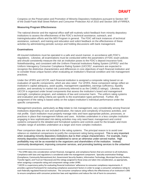Congress on the Preservation and Promotion of Minority Depository Institutions pursuant to Section 367 of the Dodd-Frank Wall Street Reform and Consumer Protection Act of 2010 and Section 308 of FIRREA.

#### **Measuring Program Effectiveness**

 The national director and the regional office staff will routinely solicit feedback from minority depository activities by administering periodic surveys and holding discussions with bank management. institutions to assess the effectiveness of the FDIC's technical assistance, outreach, and training/education efforts and the MDI Program in general. The FDIC will track instances of technical assistance, outreach, and training and education and solicit feedback on the effectiveness of these

#### **Examinations**

l

 regulations. Likewise, all examinations must be conducted within the parameters of FDIC exam policies and should consistently measure the risk an institution poses to the FDIC's deposit insurance fund. All insured institutions must be operated in a safe and sound manner, in accordance with FDIC's Notwithstanding, and consistent with the Uniform Financial Instit[u](#page-19-0)tions Rating System (UFIRS)<sup>1</sup> and the Uniform Interagency Consumer Compliance Rating System (UICCR)[2](#page-19-1), examiners are expected to recognize the distinctive characteristics and differences in core objectives of each financial institution and to consider those unique factors when evaluating an institution's financial condition and risk management practices.

 Under the UFIRS and UICCR, each financial institution is assigned a composite rating based on an evaluation of specific components, which are also rated. For UFIRS, these component ratings reflect an institution's capital adequacy, asset quality, management capabilities, earnings sufficiency, liquidity position, and sensitivity to market risk (commonly referred to as the CAMELS ratings). Likewise, the oversight, compliance program, and violations of law and consumer harm. The uniform rating systems and evaluation and rating criteria are specific to the examination types performed. Further, the specific components. UICCR is organized under broad components that assess the institution's board and management assignment of the rating is based solely on the subject institution's individual performance under the

 risk profile. Each institution must properly manage risks and have appropriate policies, processes, or practices in place that management follows and uses. Activities undertaken in a less complex institution Management practices, particularly as they relate to risk management, vary considerably among financial institutions depending on size and sophistication, the nature and complexity of business activities, and engaging in less sophisticated risk-taking activities may only need basic management and control systems compared to the detailed and formalized systems and controls used for the broader and more complex range of activities undertaken at a larger and more complex institution.

 reliance on statistical comparisons to justify the component rating being assigned. This is very important when evaluating minority depository institutions due to their unique characteristics. For example, many minority depository institutions were established to serve an otherwise under-served market. High profitability may not be as essential to the organizers and shareholders of the institution. Instead, Peer comparison data are not included in the rating systems. The principal reason is to avoid over community development, improving consumer services, and promoting banking services to the unbanked

<span id="page-19-0"></span><sup>&</sup>lt;sup>1</sup> The UFIRS takes into consideration certain financial, managerial, and compliance factors that are common to all institutions. (Compliance, Community Reinvestment Act, Government Security Dealers, Information Technology, Municipal Security Dealers, Compliance with laws and regulations is considered under the management component. Specialty examination findings Transfer Agent, and Trust (or Fiduciary)) and the ratings assigned to those areas are taken into consideration, as appropriate, when assigning a composite rating and component ratings under UFIRS.<br><sup>2</sup> UICCR is a supervisory policy for evaluating financial institutions' adherence to consumer compliance requirements. It

<span id="page-19-1"></span> each federally regulated financial institution. The consumer compliance rating reflects the effectiveness of an institution's CMS provides a general framework for evaluating compliance assessment factors in order to assign a consumer compliance rating to to ensure compliance with consumer protection laws and regulations and reduce the risk of harm to consumers.